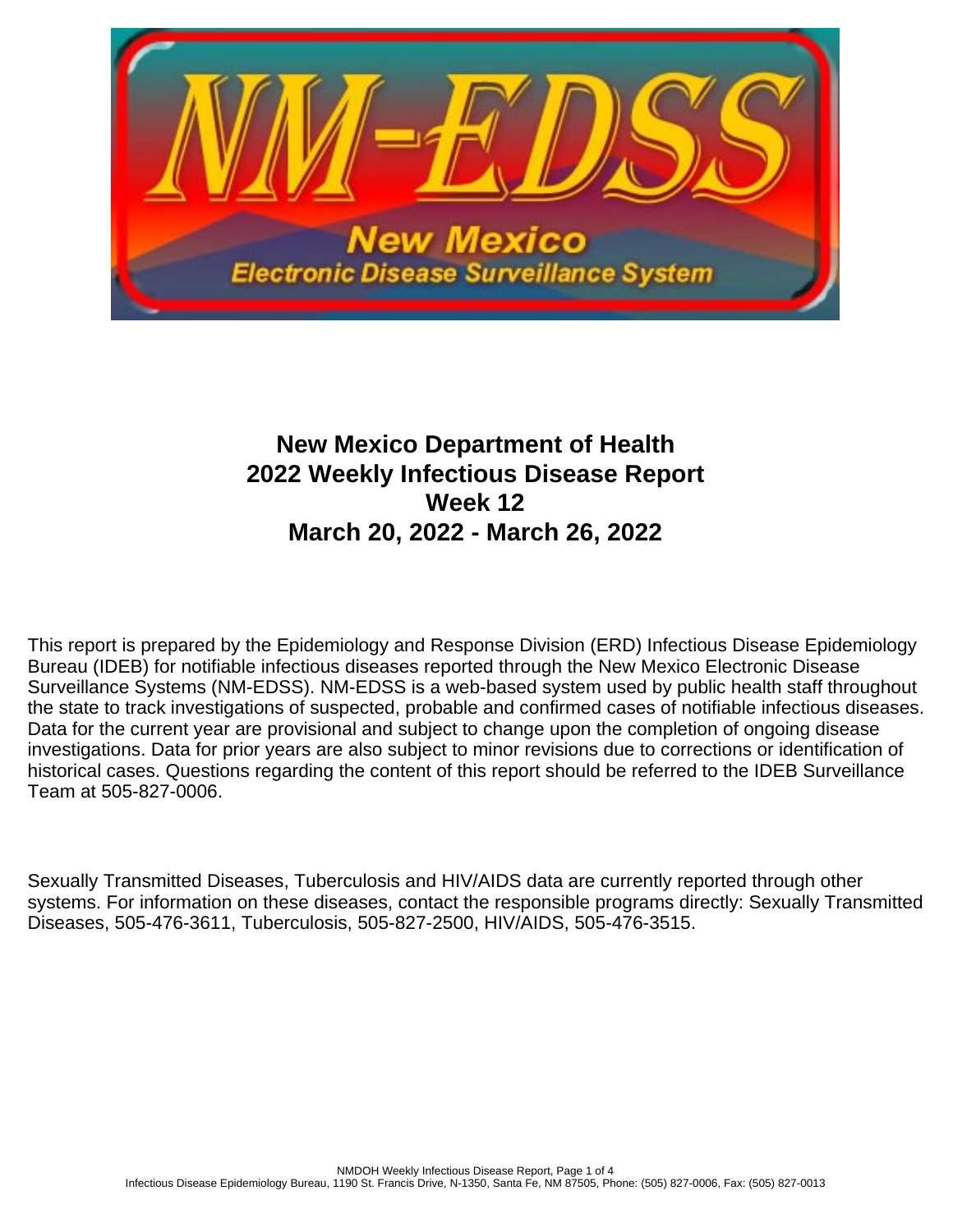

# **New Mexico Department of Health 2022 Weekly Infectious Disease Report Week 12 March 20, 2022 - March 26, 2022**

This report is prepared by the Epidemiology and Response Division (ERD) Infectious Disease Epidemiology Bureau (IDEB) for notifiable infectious diseases reported through the New Mexico Electronic Disease Surveillance Systems (NM-EDSS). NM-EDSS is a web-based system used by public health staff throughout the state to track investigations of suspected, probable and confirmed cases of notifiable infectious diseases. Data for the current year are provisional and subject to change upon the completion of ongoing disease investigations. Data for prior years are also subject to minor revisions due to corrections or identification of historical cases. Questions regarding the content of this report should be referred to the IDEB Surveillance Team at 505-827-0006.

Sexually Transmitted Diseases, Tuberculosis and HIV/AIDS data are currently reported through other systems. For information on these diseases, contact the responsible programs directly: Sexually Transmitted Diseases, 505-476-3611, Tuberculosis, 505-827-2500, HIV/AIDS, 505-476-3515.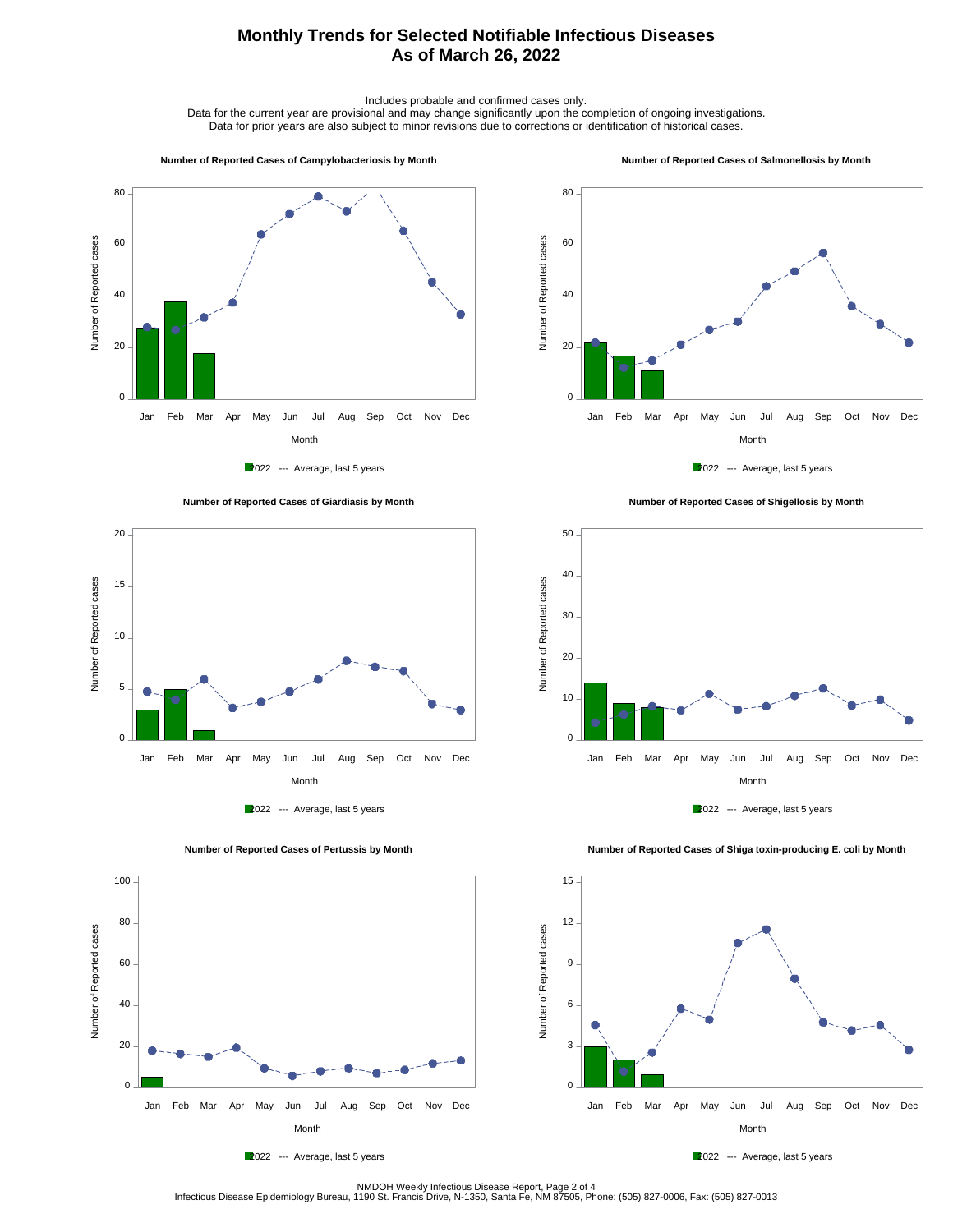## **Monthly Trends for Selected Notifiable Infectious Diseases As of March 26, 2022**

Includes probable and confirmed cases only.

Data for the current year are provisional and may change significantly upon the completion of ongoing investigations. Data for prior years are also subject to minor revisions due to corrections or identification of historical cases.

#### **Number of Reported Cases of Campylobacteriosis by Month**

#### **Number of Reported Cases of Salmonellosis by Month**











 **Number of Reported Cases of Shigellosis by Month**





Number of Reported cases

Number of Reported cases

 $0 -$ 

20

40

60

80

100

 **Number of Reported Cases of Shiga toxin-producing E. coli by Month**



2022 --- Average, last 5 years

Month Jan Feb Mar Apr May Jun Jul Aug Sep Oct Nov Dec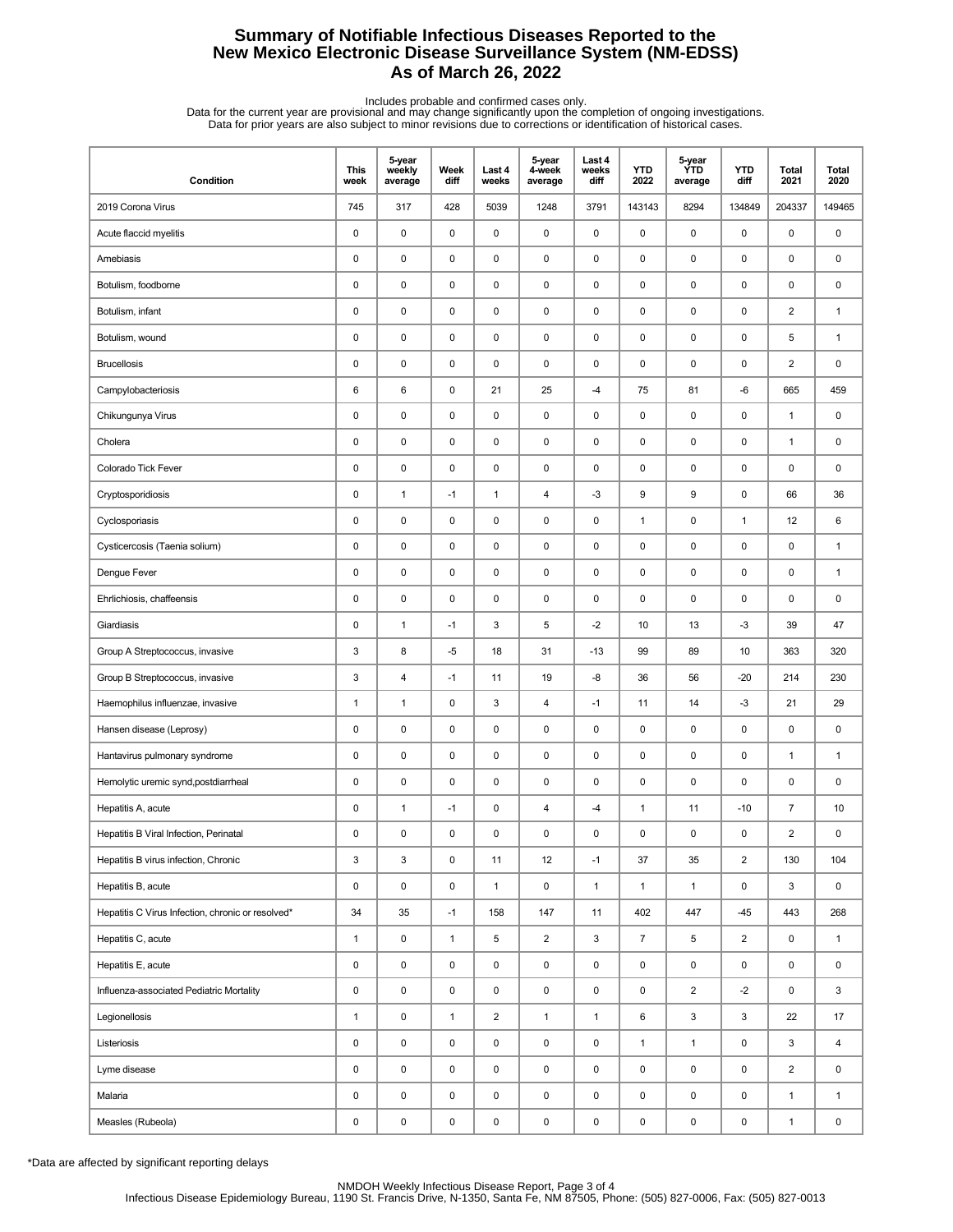## **Summary of Notifiable Infectious Diseases Reported to the New Mexico Electronic Disease Surveillance System (NM-EDSS) As of March 26, 2022**

Includes probable and confirmed cases only.<br>Data for the current year are provisional and may change significantly upon the completion of ongoing investigations.<br>Data for prior years are also subject to minor revisions due

| Condition                                         | <b>This</b><br>week | 5-year<br>weekly<br>average | Week<br>diff | Last 4<br>weeks | 5-year<br>4-week<br>average | Last 4<br>weeks<br>diff | <b>YTD</b><br>2022 | 5-year<br>ÝTD<br>average | <b>YTD</b><br>diff | <b>Total</b><br>2021    | <b>Total</b><br>2020 |
|---------------------------------------------------|---------------------|-----------------------------|--------------|-----------------|-----------------------------|-------------------------|--------------------|--------------------------|--------------------|-------------------------|----------------------|
| 2019 Corona Virus                                 | 745                 | 317                         | 428          | 5039            | 1248                        | 3791                    | 143143             | 8294                     | 134849             | 204337                  | 149465               |
| Acute flaccid myelitis                            | 0                   | 0                           | 0            | 0               | 0                           | 0                       | $\pmb{0}$          | 0                        | 0                  | 0                       | 0                    |
| Amebiasis                                         | 0                   | 0                           | 0            | 0               | 0                           | $\mathbf 0$             | $\pmb{0}$          | 0                        | $\mathbf 0$        | $\pmb{0}$               | 0                    |
| Botulism, foodborne                               | 0                   | 0                           | 0            | 0               | $\pmb{0}$                   | $\pmb{0}$               | $\pmb{0}$          | 0                        | $\pmb{0}$          | 0                       | 0                    |
| Botulism, infant                                  | 0                   | 0                           | $\pmb{0}$    | 0               | 0                           | 0                       | $\pmb{0}$          | 0                        | $\pmb{0}$          | $\overline{\mathbf{c}}$ | $\mathbf{1}$         |
| Botulism, wound                                   | 0                   | $\mathsf 0$                 | 0            | 0               | $\pmb{0}$                   | $\mathbf 0$             | 0                  | 0                        | $\pmb{0}$          | 5                       | $\mathbf{1}$         |
| <b>Brucellosis</b>                                | 0                   | 0                           | 0            | 0               | 0                           | 0                       | $\pmb{0}$          | 0                        | 0                  | $\overline{2}$          | 0                    |
| Campylobacteriosis                                | 6                   | 6                           | 0            | 21              | 25                          | $-4$                    | 75                 | 81                       | -6                 | 665                     | 459                  |
| Chikungunya Virus                                 | 0                   | 0                           | 0            | 0               | 0                           | $\mathbf 0$             | $\mathbf 0$        | 0                        | $\mathbf 0$        | 1                       | 0                    |
| Cholera                                           | 0                   | $\mathsf 0$                 | $\pmb{0}$    | 0               | 0                           | $\pmb{0}$               | $\pmb{0}$          | 0                        | $\pmb{0}$          | $\mathbf{1}$            | 0                    |
| Colorado Tick Fever                               | 0                   | 0                           | 0            | 0               | 0                           | $\mathbf 0$             | 0                  | 0                        | $\pmb{0}$          | 0                       | 0                    |
| Cryptosporidiosis                                 | 0                   | $\mathbf{1}$                | $-1$         | $\mathbf{1}$    | $\overline{\mathbf{4}}$     | $-3$                    | 9                  | 9                        | 0                  | 66                      | 36                   |
| Cyclosporiasis                                    | 0                   | 0                           | 0            | 0               | 0                           | $\mathbf 0$             | $\mathbf{1}$       | 0                        | $\mathbf{1}$       | 12                      | 6                    |
| Cysticercosis (Taenia solium)                     | 0                   | 0                           | 0            | 0               | 0                           | $\mathbf 0$             | $\pmb{0}$          | 0                        | $\pmb{0}$          | 0                       | $\mathbf{1}$         |
| Dengue Fever                                      | 0                   | 0                           | 0            | 0               | 0                           | 0                       | $\pmb{0}$          | 0                        | $\pmb{0}$          | 0                       | $\mathbf{1}$         |
| Ehrlichiosis, chaffeensis                         | 0                   | $\pmb{0}$                   | 0            | 0               | $\pmb{0}$                   | $\mathbf 0$             | 0                  | 0                        | $\pmb{0}$          | 0                       | 0                    |
| Giardiasis                                        | 0                   | $\mathbf{1}$                | $-1$         | 3               | 5                           | $-2$                    | 10                 | 13                       | $-3$               | 39                      | 47                   |
| Group A Streptococcus, invasive                   | 3                   | 8                           | $-5$         | 18              | 31                          | $-13$                   | 99                 | 89                       | 10                 | 363                     | 320                  |
| Group B Streptococcus, invasive                   | 3                   | 4                           | $-1$         | 11              | 19                          | -8                      | 36                 | 56                       | $-20$              | 214                     | 230                  |
| Haemophilus influenzae, invasive                  | 1                   | $\mathbf{1}$                | $\pmb{0}$    | 3               | 4                           | $-1$                    | 11                 | 14                       | $-3$               | 21                      | 29                   |
| Hansen disease (Leprosy)                          | 0                   | 0                           | 0            | 0               | 0                           | $\mathbf 0$             | 0                  | 0                        | $\pmb{0}$          | 0                       | 0                    |
| Hantavirus pulmonary syndrome                     | 0                   | 0                           | 0            | 0               | 0                           | 0                       | 0                  | 0                        | 0                  | $\mathbf{1}$            | $\mathbf{1}$         |
| Hemolytic uremic synd, postdiarrheal              | 0                   | 0                           | 0            | 0               | 0                           | $\mathbf 0$             | $\pmb{0}$          | 0                        | $\mathbf 0$        | $\pmb{0}$               | 0                    |
| Hepatitis A, acute                                | 0                   | $\mathbf{1}$                | $-1$         | 0               | 4                           | -4                      | $\mathbf{1}$       | 11                       | $-10$              | $\overline{7}$          | 10                   |
| Hepatitis B Viral Infection, Perinatal            | 0                   | $\pmb{0}$                   | 0            | $\mathbf 0$     | $\pmb{0}$                   | 0                       | $\mathbf 0$        | 0                        | 0                  | $\overline{2}$          | $\pmb{0}$            |
| Hepatitis B virus infection, Chronic              | 3                   | 3                           | 0            | 11              | 12                          | $-1$                    | 37                 | 35                       | $\overline{2}$     | 130                     | 104                  |
| Hepatitis B, acute                                | 0                   | $\pmb{0}$                   | 0            | $\mathbf{1}$    | $\mathsf 0$                 | $\mathbf{1}$            | $\mathbf{1}$       | $\mathbf{1}$             | $\mathsf 0$        | 3                       | $\mathsf 0$          |
| Hepatitis C Virus Infection, chronic or resolved* | 34                  | 35                          | $-1$         | 158             | 147                         | 11                      | 402                | 447                      | $-45$              | 443                     | 268                  |
| Hepatitis C, acute                                | $\mathbf{1}$        | $\mathsf 0$                 | $\mathbf{1}$ | 5               | $\overline{2}$              | 3                       | $\overline{7}$     | 5                        | $\overline{2}$     | 0                       | $\mathbf{1}$         |
| Hepatitis E, acute                                | 0                   | $\mathsf 0$                 | 0            | 0               | $\pmb{0}$                   | $\mathsf 0$             | $\pmb{0}$          | 0                        | $\mathsf 0$        | 0                       | 0                    |
| Influenza-associated Pediatric Mortality          | 0                   | $\pmb{0}$                   | 0            | 0               | $\pmb{0}$                   | $\mathsf 0$             | $\pmb{0}$          | $\overline{\mathbf{c}}$  | $-2$               | 0                       | 3                    |
| Legionellosis                                     | $\mathbf{1}$        | $\mathsf 0$                 | $\mathbf{1}$ | $\overline{2}$  | $\mathbf{1}$                | $\mathbf{1}$            | 6                  | 3                        | 3                  | 22                      | 17                   |
| Listeriosis                                       | 0                   | $\mathsf 0$                 | 0            | 0               | $\mathsf 0$                 | $\mathsf 0$             | $\mathbf{1}$       | $\mathbf{1}$             | $\mathsf 0$        | 3                       | 4                    |
| Lyme disease                                      | 0                   | $\mathsf 0$                 | 0            | 0               | $\pmb{0}$                   | 0                       | 0                  | 0                        | $\mathbf 0$        | $\overline{2}$          | $\mathbf 0$          |
| Malaria                                           | 0                   | $\mathsf 0$                 | 0            | 0               | $\pmb{0}$                   | $\mathsf 0$             | $\pmb{0}$          | 0                        | $\mathsf 0$        | $\mathbf{1}$            | $\mathbf{1}$         |
| Measles (Rubeola)                                 | 0                   | $\pmb{0}$                   | 0            | 0               | $\pmb{0}$                   | 0                       | 0                  | 0                        | 0                  | $\mathbf{1}$            | 0                    |

\*Data are affected by significant reporting delays